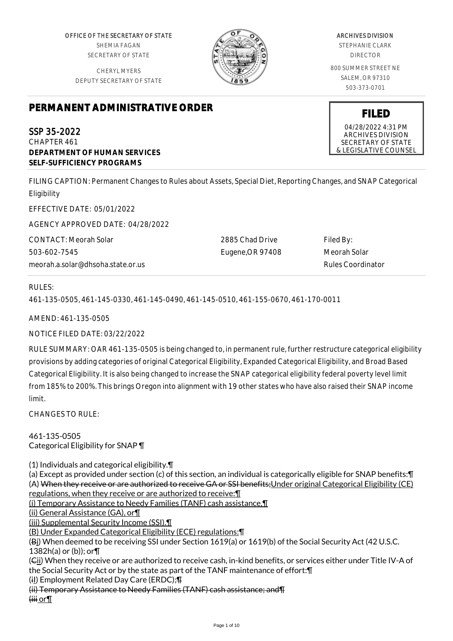OFFICE OF THE SECRETARY OF STATE SHEMIA FAGAN SECRETARY OF STATE

CHERYL MYERS DEPUTY SECRETARY OF STATE



# ARCHIVES DIVISION

STEPHANIE CLARK DIRECTOR

800 SUMMER STREET NE SALEM, OR 97310 503-373-0701

**FILED** 04/28/2022 4:31 PM ARCHIVES DIVISION SECRETARY OF STATE & LEGISLATIVE COUNSEL

# **PERMANENT ADMINISTRATIVE ORDER**

SSP 35-2022 CHAPTER 461 **DEPARTMENT OF HUMAN SERVICES SELF-SUFFICIENCY PROGRAMS**

FILING CAPTION: Permanent Changes to Rules about Assets, Special Diet, Reporting Changes, and SNAP Categorical Eligibility

EFFECTIVE DATE: 05/01/2022

AGENCY APPROVED DATE: 04/28/2022

CONTACT: Meorah Solar 503-602-7545 meorah.a.solar@dhsoha.state.or.us 2885 Chad Drive Eugene,OR 97408

Filed By: Meorah Solar Rules Coordinator

# RULES:

461-135-0505, 461-145-0330, 461-145-0490, 461-145-0510, 461-155-0670, 461-170-0011

AMEND: 461-135-0505

NOTICE FILED DATE: 03/22/2022

RULE SUMMARY: OAR 461-135-0505 is being changed to, in permanent rule, further restructure categorical eligibility provisions by adding categories of original Categorical Eligibility, Expanded Categorical Eligibility, and Broad Based Categorical Eligibility. It is also being changed to increase the SNAP categorical eligibility federal poverty level limit from 185% to 200%. This brings Oregon into alignment with 19 other states who have also raised their SNAP income limit.

 $CHANGFS TO RIIF$ 

461-135-0505 Categorical Eligibility for SNAP ¶

(1) Individuals and categorical eligibility.¶

(a) Except as provided under section (c) of this section, an individual is categorically eligible for SNAP benefits:¶ (A) When they receive or are authorized to receive GA or SSI benefits;Under original Categorical Eligibility (CE) regulations, when they receive or are authorized to receive:¶

(i) Temporary Assistance to Needy Families (TANF) cash assistance,¶

(ii) General Assistance (GA), or¶

(iii) Supplemental Security Income (SSI).¶

(B) Under Expanded Categorical Eligibility (ECE) regulations:¶

(Bi) When deemed to be receiving SSI under Section 1619(a) or 1619(b) of the Social Security Act (42 U.S.C. 1382h(a) or (b)); or $\P$ 

(Cii) When they receive or are authorized to receive cash, in-kind benefits, or services either under Title IV-A of the Social Security Act or by the state as part of the TANF maintenance of effort:¶

(iI) Employment Related Day Care (ERDC);¶

(ii) Temporary Assistance to Needy Families (TANF) cash assistance; and¶  $f$ <del>iii</del> or $\P$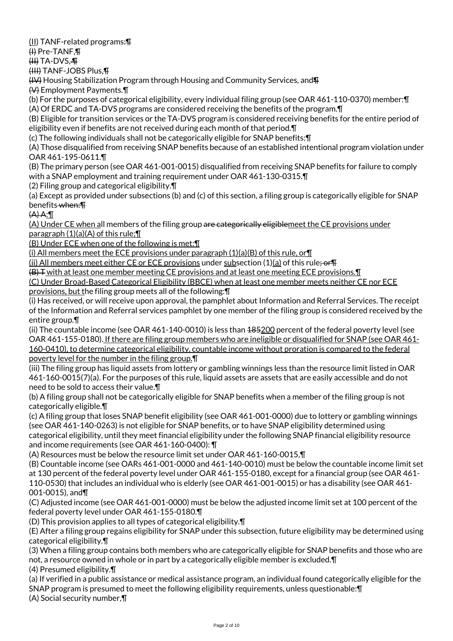(II) TANF-related programs:¶

(I) Pre-TANF,¶

 $(HH)$  TA-DVS,  $\P$ 

(III) TANF-JOBS Plus,¶

(IV) Housing Stabilization Program through Housing and Community Services, and¶

(V) Employment Payments.¶

(b) For the purposes of categorical eligibility, every individual filing group (see OAR 461-110-0370) member:¶ (A) Of ERDC and TA-DVS programs are considered receiving the benefits of the program.¶

(B) Eligible for transition services or the TA-DVS program is considered receiving benefits for the entire period of eligibility even if benefits are not received during each month of that period.¶

(c) The following individuals shall not be categorically eligible for SNAP benefits:¶

(A) Those disqualified from receiving SNAP benefits because of an established intentional program violation under OAR 461-195-0611.¶

(B) The primary person (see OAR 461-001-0015) disqualified from receiving SNAP benefits for failure to comply with a SNAP employment and training requirement under OAR 461-130-0315.¶

(2) Filing group and categorical eligibility.¶

(a) Except as provided under subsections (b) and (c) of this section, a filing group is categorically eligible for SNAP benefits when:¶

 $(A) A: \mathbb{T}$ 

(A) Under CE when all members of the filing group are categorically eligiblemeet the CE provisions under paragraph  $(1)(a)(A)$  of this rule; $\P$ 

(B) Under ECE when one of the following is met:¶

(i) All members meet the ECE provisions under paragraph  $(1)(a)(B)$  of this rule, or  $\P$ 

(ii) All members meet either CE or ECE provisions under subsection  $(1)(a)$  of this rule; or  $\P$ 

(B) T with at least one member meeting CE provisions and at least one meeting ECE provisions.¶

(C) Under Broad-Based Categorical Eligibility (BBCE) when at least one member meets neither CE nor ECE provisions, but the filing group meets all of the following:¶

(i) Has received, or will receive upon approval, the pamphlet about Information and Referral Services. The receipt of the Information and Referral services pamphlet by one member of the filing group is considered received by the entire group.¶

(ii) The countable income (see OAR 461-140-0010) is less than 185200 percent of the federal poverty level (see OAR 461-155-0180). If there are filing group members who are ineligible or disqualified for SNAP (see OAR 461- 160-0410), to determine categorical eligibility, countable income without proration is compared to the federal poverty level for the number in the filing group.¶

(iii) The filing group has liquid assets from lottery or gambling winnings less than the resource limit listed in OAR 461-160-0015(7)(a). For the purposes of this rule, liquid assets are assets that are easily accessible and do not need to be sold to access their value.¶

(b) A filing group shall not be categorically eligible for SNAP benefits when a member of the filing group is not categorically eligible.¶

(c) A filing group that loses SNAP benefit eligibility (see OAR 461-001-0000) due to lottery or gambling winnings (see OAR 461-140-0263) is not eligible for SNAP benefits, or to have SNAP eligibility determined using categorical eligibility, until they meet financial eligibility under the following SNAP financial eligibility resource and income requirements (see OAR 461-160-0400): ¶

(A) Resources must be below the resource limit set under OAR 461-160-0015,¶

(B) Countable income (see OARs 461-001-0000 and 461-140-0010) must be below the countable income limit set at 130 percent of the federal poverty level under OAR 461-155-0180, except for a financial group (see OAR 461- 110-0530) that includes an individual who is elderly (see OAR 461-001-0015) or has a disability (see OAR 461- 001-0015), and¶

(C) Adjusted income (see OAR 461-001-0000) must be below the adjusted income limit set at 100 percent of the federal poverty level under OAR 461-155-0180.¶

(D) This provision applies to all types of categorical eligibility.¶

(E) After a filing group regains eligibility for SNAP under this subsection, future eligibility may be determined using categorical eligibility.¶

(3) When a filing group contains both members who are categorically eligible for SNAP benefits and those who are not, a resource owned in whole or in part by a categorically eligible member is excluded.¶

(4) Presumed eligibility.¶

(a) If verified in a public assistance or medical assistance program, an individual found categorically eligible for the SNAP program is presumed to meet the following eligibility requirements, unless questionable: [7]

(A) Social security number,¶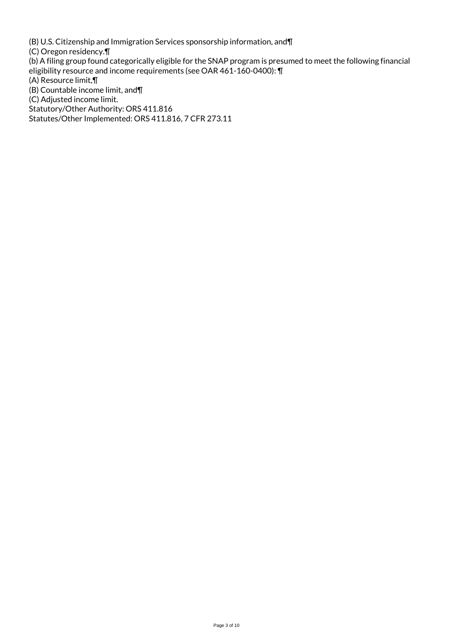(B) U.S. Citizenship and Immigration Services sponsorship information, and¶

(C) Oregon residency.¶

(b) A filing group found categorically eligible for the SNAP program is presumed to meet the following financial eligibility resource and income requirements (see OAR 461-160-0400): ¶

(A) Resource limit,¶

(B) Countable income limit, and¶

(C) Adjusted income limit.

Statutory/Other Authority: ORS 411.816

Statutes/Other Implemented: ORS 411.816, 7 CFR 273.11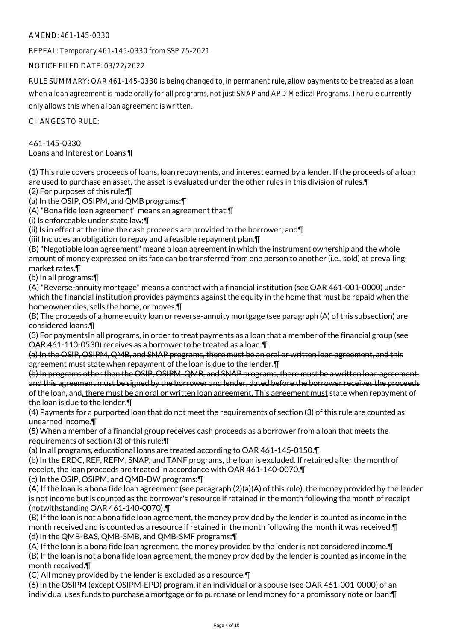# AMEND: 461-145-0330

REPEAL: Temporary 461-145-0330 from SSP 75-2021

NOTICE FILED DATE: 03/22/2022

RULE SUMMARY: OAR 461-145-0330 is being changed to, in permanent rule, allow payments to be treated as a loan when a loan agreement is made orally for all programs, not just SNAP and APD Medical Programs. The rule currently only allows this when a loan agreement is written.

CHANGES TO RULE:

#### 461-145-0330 Loans and Interest on Loans ¶

(1) This rule covers proceeds of loans, loan repayments, and interest earned by a lender. If the proceeds of a loan are used to purchase an asset, the asset is evaluated under the other rules in this division of rules.¶

(2) For purposes of this rule:¶

(a) In the OSIP, OSIPM, and QMB programs:¶

(A) "Bona fide loan agreement" means an agreement that:¶

(i) Is enforceable under state law;¶

(ii) Is in effect at the time the cash proceeds are provided to the borrower; and  $\P$ 

(iii) Includes an obligation to repay and a feasible repayment plan.¶

(B) "Negotiable loan agreement" means a loan agreement in which the instrument ownership and the whole amount of money expressed on its face can be transferred from one person to another (i.e., sold) at prevailing market rates.¶

(b) In all programs:¶

(A) "Reverse-annuity mortgage" means a contract with a financial institution (see OAR 461-001-0000) under which the financial institution provides payments against the equity in the home that must be repaid when the homeowner dies, sells the home, or moves.¶

(B) The proceeds of a home equity loan or reverse-annuity mortgage (see paragraph (A) of this subsection) are considered loans.¶

(3) For paymentsIn all programs, in order to treat payments as a loan that a member of the financial group (see OAR 461-110-0530) receives as a borrower to be treated as a loan:¶

(a) In the OSIP, OSIPM, QMB, and SNAP programs, there must be an oral or written loan agreement, and this agreement must state when repayment of the loan is due to the lender.¶

(b) In programs other than the OSIP, OSIPM, QMB, and SNAP programs, there must be a written loan agreement, and this agreement must be signed by the borrower and lender, dated before the borrower receives the proceeds of the loan, and, there must be an oral or written loan agreement. This agreement must state when repayment of the loan is due to the lender.¶

(4) Payments for a purported loan that do not meet the requirements of section (3) of this rule are counted as unearned income.¶

(5) When a member of a financial group receives cash proceeds as a borrower from a loan that meets the requirements of section (3) of this rule:¶

(a) In all programs, educational loans are treated according to OAR 461-145-0150.¶

(b) In the ERDC, REF, REFM, SNAP, and TANF programs, the loan is excluded. If retained after the month of receipt, the loan proceeds are treated in accordance with OAR 461-140-0070.¶

(c) In the OSIP, OSIPM, and QMB-DW programs:¶

(A) If the loan is a bona fide loan agreement (see paragraph (2)(a)(A) of this rule), the money provided by the lender is not income but is counted as the borrower's resource if retained in the month following the month of receipt (notwithstanding OAR 461-140-0070).¶

(B) If the loan is not a bona fide loan agreement, the money provided by the lender is counted as income in the month received and is counted as a resource if retained in the month following the month it was received.¶ (d) In the QMB-BAS, QMB-SMB, and QMB-SMF programs:¶

(A) If the loan is a bona fide loan agreement, the money provided by the lender is not considered income.¶ (B) If the loan is not a bona fide loan agreement, the money provided by the lender is counted as income in the month received.¶

(C) All money provided by the lender is excluded as a resource.¶

(6) In the OSIPM (except OSIPM-EPD) program, if an individual or a spouse (see OAR 461-001-0000) of an individual uses funds to purchase a mortgage or to purchase or lend money for a promissory note or loan:¶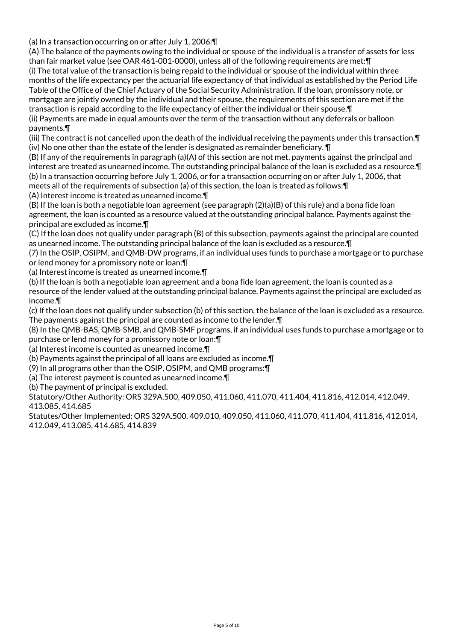(a) In a transaction occurring on or after July 1, 2006:¶

(A) The balance of the payments owing to the individual or spouse of the individual is a transfer of assets for less than fair market value (see OAR 461-001-0000), unless all of the following requirements are met:¶ (i) The total value of the transaction is being repaid to the individual or spouse of the individual within three months of the life expectancy per the actuarial life expectancy of that individual as established by the Period Life

Table of the Office of the Chief Actuary of the Social Security Administration. If the loan, promissory note, or mortgage are jointly owned by the individual and their spouse, the requirements of this section are met if the transaction is repaid according to the life expectancy of either the individual or their spouse.¶

(ii) Payments are made in equal amounts over the term of the transaction without any deferrals or balloon payments.¶

(iii) The contract is not cancelled upon the death of the individual receiving the payments under this transaction.¶ (iv) No one other than the estate of the lender is designated as remainder beneficiary. ¶

(B) If any of the requirements in paragraph (a)(A) of this section are not met. payments against the principal and interest are treated as unearned income. The outstanding principal balance of the loan is excluded as a resource.¶ (b) In a transaction occurring before July 1, 2006, or for a transaction occurring on or after July 1, 2006, that meets all of the requirements of subsection (a) of this section, the loan is treated as follows:¶ (A) Interest income is treated as unearned income.¶

(B) If the loan is both a negotiable loan agreement (see paragraph (2)(a)(B) of this rule) and a bona fide loan agreement, the loan is counted as a resource valued at the outstanding principal balance. Payments against the principal are excluded as income.¶

(C) If the loan does not qualify under paragraph (B) of this subsection, payments against the principal are counted as unearned income. The outstanding principal balance of the loan is excluded as a resource.¶

(7) In the OSIP, OSIPM, and QMB-DW programs, if an individual uses funds to purchase a mortgage or to purchase or lend money for a promissory note or loan:¶

(a) Interest income is treated as unearned income.¶

(b) If the loan is both a negotiable loan agreement and a bona fide loan agreement, the loan is counted as a resource of the lender valued at the outstanding principal balance. Payments against the principal are excluded as income.¶

(c) If the loan does not qualify under subsection (b) of this section, the balance of the loan is excluded as a resource. The payments against the principal are counted as income to the lender.¶

(8) In the QMB-BAS, QMB-SMB, and QMB-SMF programs, if an individual uses funds to purchase a mortgage or to purchase or lend money for a promissory note or loan:¶

(a) Interest income is counted as unearned income.¶

(b) Payments against the principal of all loans are excluded as income.¶

(9) In all programs other than the OSIP, OSIPM, and QMB programs:¶

(a) The interest payment is counted as unearned income.¶

(b) The payment of principal is excluded.

Statutory/Other Authority: ORS 329A.500, 409.050, 411.060, 411.070, 411.404, 411.816, 412.014, 412.049, 413.085, 414.685

Statutes/Other Implemented: ORS 329A.500, 409.010, 409.050, 411.060, 411.070, 411.404, 411.816, 412.014, 412.049, 413.085, 414.685, 414.839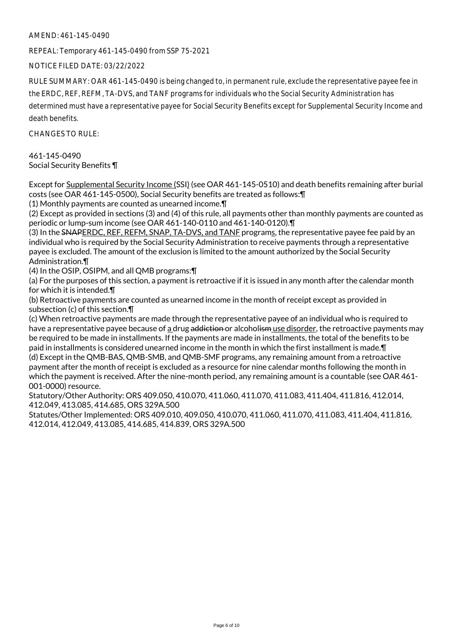# AMEND: 461-145-0490

REPEAL: Temporary 461-145-0490 from SSP 75-2021

NOTICE FILED DATE: 03/22/2022

RULE SUMMARY: OAR 461-145-0490 is being changed to, in permanent rule, exclude the representative payee fee in the ERDC, REF, REFM, TA-DVS, and TANF programs for individuals who the Social Security Administration has determined must have a representative payee for Social Security Benefits except for Supplemental Security Income and death benefits.

CHANGES TO RULE:

#### 461-145-0490 Social Security Benefits ¶

Except for Supplemental Security Income (SSI) (see OAR 461-145-0510) and death benefits remaining after burial costs (see OAR 461-145-0500), Social Security benefits are treated as follows:¶

(1) Monthly payments are counted as unearned income.¶

(2) Except as provided in sections (3) and (4) of this rule, all payments other than monthly payments are counted as periodic or lump-sum income (see OAR 461-140-0110 and 461-140-0120).¶

(3) In the SNAPERDC, REF, REFM, SNAP, TA-DVS, and TANF programs, the representative payee fee paid by an individual who is required by the Social Security Administration to receive payments through a representative payee is excluded. The amount of the exclusion is limited to the amount authorized by the Social Security Administration.¶

(4) In the OSIP, OSIPM, and all QMB programs:¶

(a) For the purposes of this section, a payment is retroactive if it is issued in any month after the calendar month for which it is intended.¶

(b) Retroactive payments are counted as unearned income in the month of receipt except as provided in subsection (c) of this section.¶

(c) When retroactive payments are made through the representative payee of an individual who is required to have a representative payee because of a drug addiction or alcoholism use disorder, the retroactive payments may be required to be made in installments. If the payments are made in installments, the total of the benefits to be paid in installments is considered unearned income in the month in which the first installment is made.¶ (d) Except in the QMB-BAS, QMB-SMB, and QMB-SMF programs, any remaining amount from a retroactive payment after the month of receipt is excluded as a resource for nine calendar months following the month in which the payment is received. After the nine-month period, any remaining amount is a countable (see OAR 461- 001-0000) resource.

Statutory/Other Authority: ORS 409.050, 410.070, 411.060, 411.070, 411.083, 411.404, 411.816, 412.014, 412.049, 413.085, 414.685, ORS 329A.500

Statutes/Other Implemented: ORS 409.010, 409.050, 410.070, 411.060, 411.070, 411.083, 411.404, 411.816, 412.014, 412.049, 413.085, 414.685, 414.839, ORS 329A.500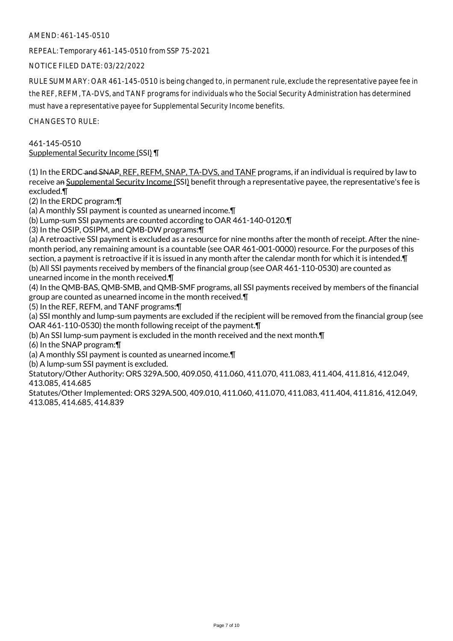### AMEND: 461-145-0510

REPEAL: Temporary 461-145-0510 from SSP 75-2021

NOTICE FILED DATE: 03/22/2022

RULE SUMMARY: OAR 461-145-0510 is being changed to, in permanent rule, exclude the representative payee fee in the REF, REFM, TA-DVS, and TANF programs for individuals who the Social Security Administration has determined must have a representative payee for Supplemental Security Income benefits.

CHANGES TO RULE:

# 461-145-0510 Supplemental Security Income (SSI) ¶

(1) In the ERDC and SNAP, REF, REFM, SNAP, TA-DVS, and TANF programs, if an individual is required by law to receive an Supplemental Security Income (SSI) benefit through a representative payee, the representative's fee is excluded.¶

(2) In the ERDC program:¶

(a) A monthly SSI payment is counted as unearned income.¶

(b) Lump-sum SSI payments are counted according to OAR 461-140-0120.¶

(3) In the OSIP, OSIPM, and QMB-DW programs:¶

(a) A retroactive SSI payment is excluded as a resource for nine months after the month of receipt. After the ninemonth period, any remaining amount is a countable (see OAR 461-001-0000) resource. For the purposes of this section, a payment is retroactive if it is issued in any month after the calendar month for which it is intended.¶ (b) All SSI payments received by members of the financial group (see OAR 461-110-0530) are counted as unearned income in the month received.¶

(4) In the QMB-BAS, QMB-SMB, and QMB-SMF programs, all SSI payments received by members of the financial group are counted as unearned income in the month received.¶

(5) In the REF, REFM, and TANF programs:¶

(a) SSI monthly and lump-sum payments are excluded if the recipient will be removed from the financial group (see OAR 461-110-0530) the month following receipt of the payment.¶

(b) An SSI lump-sum payment is excluded in the month received and the next month.¶

(6) In the SNAP program:¶

(a) A monthly SSI payment is counted as unearned income.¶

(b) A lump-sum SSI payment is excluded.

Statutory/Other Authority: ORS 329A.500, 409.050, 411.060, 411.070, 411.083, 411.404, 411.816, 412.049, 413.085, 414.685

Statutes/Other Implemented: ORS 329A.500, 409.010, 411.060, 411.070, 411.083, 411.404, 411.816, 412.049, 413.085, 414.685, 414.839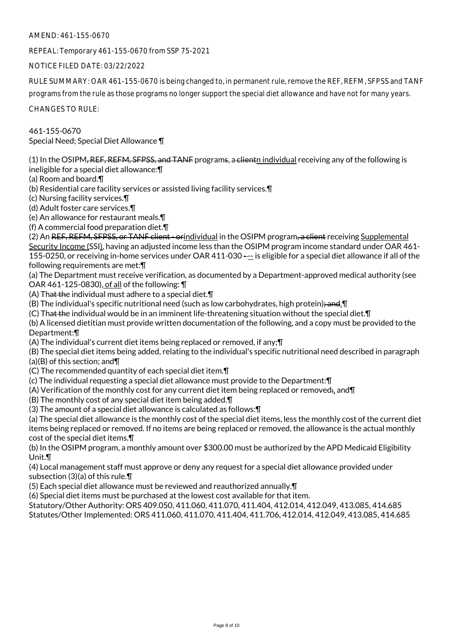# AMEND: 461-155-0670

REPEAL: Temporary 461-155-0670 from SSP 75-2021

NOTICE FILED DATE: 03/22/2022

RULE SUMMARY: OAR 461-155-0670 is being changed to, in permanent rule, remove the REF, REFM, SFPSS and TANF programs from the rule as those programs no longer support the special diet allowance and have not for many years.

CHANGES TO RULE:

461-155-0670 Special Need; Special Diet Allowance ¶

(1) In the OSIPM, REF, REFM, SFPSS, and TANF programs, a clienth individual receiving any of the following is ineligible for a special diet allowance:¶

(a) Room and board.¶

(b) Residential care facility services or assisted living facility services.¶

(c) Nursing facility services.¶

(d) Adult foster care services.¶

(e) An allowance for restaurant meals.¶

(f) A commercial food preparation diet.¶

(2) An REF, REFM, SFPSS, or TANF client - orindividual in the OSIPM program, a client receiving Supplemental Security Income (SSI), having an adjusted income less than the OSIPM program income standard under OAR 461- 155-0250, or receiving in-home services under OAR 411-030 --- is eligible for a special diet allowance if all of the following requirements are met:¶

(a) The Department must receive verification, as documented by a Department-approved medical authority (see OAR 461-125-0830), of all of the following: ¶

(A) That the individual must adhere to a special diet. $\P$ 

(B) The individual's specific nutritional need (such as low carbohydrates, high protein); and. I

(C) That the individual would be in an imminent life-threatening situation without the special diet.¶

(b) A licensed dietitian must provide written documentation of the following, and a copy must be provided to the Department:¶

(A) The individual's current diet items being replaced or removed, if any;¶

(B) The special diet items being added, relating to the individual's specific nutritional need described in paragraph (a)(B) of this section; and¶

(C) The recommended quantity of each special diet item.¶

(c) The individual requesting a special diet allowance must provide to the Department:¶

(A) Verification of the monthly cost for any current diet item being replaced or removed:, and¶

(B) The monthly cost of any special diet item being added.¶

(3) The amount of a special diet allowance is calculated as follows:¶

(a) The special diet allowance is the monthly cost of the special diet items, less the monthly cost of the current diet items being replaced or removed. If no items are being replaced or removed, the allowance is the actual monthly cost of the special diet items.¶

(b) In the OSIPM program, a monthly amount over \$300.00 must be authorized by the APD Medicaid Eligibility Unit.¶

(4) Local management staff must approve or deny any request for a special diet allowance provided under subsection (3)(a) of this rule.¶

(5) Each special diet allowance must be reviewed and reauthorized annually.¶

(6) Special diet items must be purchased at the lowest cost available for that item.

Statutory/Other Authority: ORS 409.050, 411.060, 411.070, 411.404, 412.014, 412.049, 413.085, 414.685 Statutes/Other Implemented: ORS 411.060, 411.070, 411.404, 411.706, 412.014, 412.049, 413.085, 414.685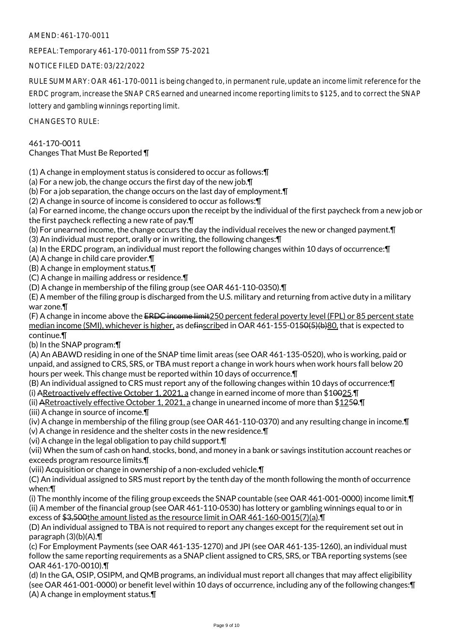# AMEND: 461-170-0011

REPEAL: Temporary 461-170-0011 from SSP 75-2021

NOTICE FILED DATE: 03/22/2022

RULE SUMMARY: OAR 461-170-0011 is being changed to, in permanent rule, update an income limit reference for the ERDC program, increase the SNAP CRS earned and unearned income reporting limits to \$125, and to correct the SNAP lottery and gambling winnings reporting limit.

CHANGES TO RULE:

# 461-170-0011 Changes That Must Be Reported ¶

(1) A change in employment status is considered to occur as follows:¶

(a) For a new job, the change occurs the first day of the new job.¶

(b) For a job separation, the change occurs on the last day of employment.¶

(2) A change in source of income is considered to occur as follows:¶

(a) For earned income, the change occurs upon the receipt by the individual of the first paycheck from a new job or the first paycheck reflecting a new rate of pay.¶

(b) For unearned income, the change occurs the day the individual receives the new or changed payment.¶ (3) An individual must report, orally or in writing, the following changes:¶

(a) In the ERDC program, an individual must report the following changes within 10 days of occurrence:¶

(A) A change in child care provider.¶

(B) A change in employment status.¶

(C) A change in mailing address or residence.¶

(D) A change in membership of the filing group (see OAR 461-110-0350).¶

(E) A member of the filing group is discharged from the U.S. military and returning from active duty in a military war zone.¶

(F) A change in income above the ERDC income limit 250 percent federal poverty level (FPL) or 85 percent state median income (SMI), whichever is higher, as definscribed in OAR 461-155-0150(5)(b)80, that is expected to continue.¶

(b) In the SNAP program:¶

(A) An ABAWD residing in one of the SNAP time limit areas (see OAR 461-135-0520), who is working, paid or unpaid, and assigned to CRS, SRS, or TBA must report a change in work hours when work hours fall below 20 hours per week. This change must be reported within 10 days of occurrence.¶

(B) An individual assigned to CRS must report any of the following changes within 10 days of occurrence:¶ (i) ARetroactively effective October 1, 2021, a change in earned income of more than \$10025.¶

(ii) ARetroactively effective October 1, 2021, a change in unearned income of more than \$1250.¶

(iii) A change in source of income.¶

(iv) A change in membership of the filing group (see OAR 461-110-0370) and any resulting change in income.¶ (v) A change in residence and the shelter costs in the new residence.¶

(vi) A change in the legal obligation to pay child support.¶

(vii) When the sum of cash on hand, stocks, bond, and money in a bank or savings institution account reaches or exceeds program resource limits.¶

(viii) Acquisition or change in ownership of a non-excluded vehicle.¶

(C) An individual assigned to SRS must report by the tenth day of the month following the month of occurrence when:¶

(i) The monthly income of the filing group exceeds the SNAP countable (see OAR 461-001-0000) income limit.¶ (ii) A member of the financial group (see OAR 461-110-0530) has lottery or gambling winnings equal to or in excess of \$3,500the amount listed as the resource limit in OAR 461-160-0015(7)(a). T

(D) An individual assigned to TBA is not required to report any changes except for the requirement set out in paragraph (3)(b)(A).¶

(c) For Employment Payments (see OAR 461-135-1270) and JPI (see OAR 461-135-1260), an individual must follow the same reporting requirements as a SNAP client assigned to CRS, SRS, or TBA reporting systems (see OAR 461-170-0010).¶

(d) In the GA, OSIP, OSIPM, and QMB programs, an individual must report all changes that may affect eligibility (see OAR 461-001-0000) or benefit level within 10 days of occurrence, including any of the following changes:¶ (A) A change in employment status.¶